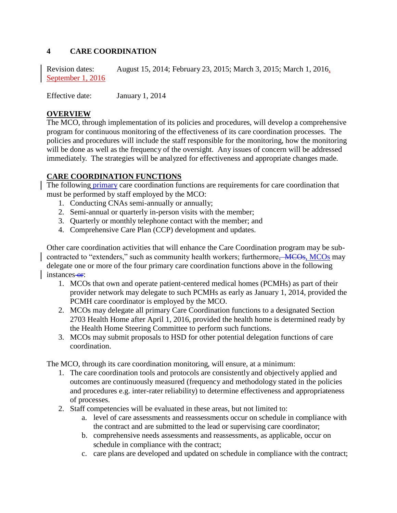### **4 CARE COORDINATION**

Revision dates: August 15, 2014; February 23, 2015; March 3, 2015; March 1, 2016, September 1, 2016

Effective date: January 1, 2014

### **OVERVIEW**

The MCO, through implementation of its policies and procedures, will develop a comprehensive program for continuous monitoring of the effectiveness of its care coordination processes. The policies and procedures will include the staff responsible for the monitoring, how the monitoring will be done as well as the frequency of the oversight. Any issues of concern will be addressed immediately. The strategies will be analyzed for effectiveness and appropriate changes made.

# **CARE COORDINATION FUNCTIONS**

The following primary care coordination functions are requirements for care coordination that must be performed by staff employed by the MCO:

- 1. Conducting CNAs semi-annually or annually;
- 2. Semi-annual or quarterly in-person visits with the member;
- 3. Quarterly or monthly telephone contact with the member; and
- 4. Comprehensive Care Plan (CCP) development and updates.

Other care coordination activities that will enhance the Care Coordination program may be subcontracted to "extenders," such as community health workers; furthermore, MCOs, MCOs may delegate one or more of the four primary care coordination functions above in the following instances-or:

- 1. MCOs that own and operate patient-centered medical homes (PCMHs) as part of their provider network may delegate to such PCMHs as early as January 1, 2014, provided the PCMH care coordinator is employed by the MCO.
- 2. MCOs may delegate all primary Care Coordination functions to a designated Section 2703 Health Home after April 1, 2016, provided the health home is determined ready by the Health Home Steering Committee to perform such functions.
- 3. MCOs may submit proposals to HSD for other potential delegation functions of care coordination.

The MCO, through its care coordination monitoring, will ensure, at a minimum:

- 1. The care coordination tools and protocols are consistently and objectively applied and outcomes are continuously measured (frequency and methodology stated in the policies and procedures e.g. inter-rater reliability) to determine effectiveness and appropriateness of processes.
- 2. Staff competencies will be evaluated in these areas, but not limited to:
	- a. level of care assessments and reassessments occur on schedule in compliance with the contract and are submitted to the lead or supervising care coordinator;
	- b. comprehensive needs assessments and reassessments, as applicable, occur on schedule in compliance with the contract;
	- c. care plans are developed and updated on schedule in compliance with the contract;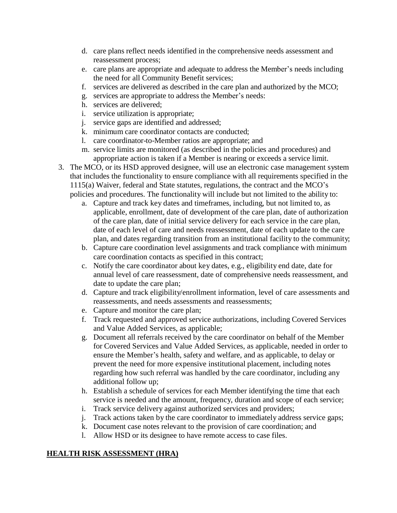- d. care plans reflect needs identified in the comprehensive needs assessment and reassessment process;
- e. care plans are appropriate and adequate to address the Member's needs including the need for all Community Benefit services;
- f. services are delivered as described in the care plan and authorized by the MCO;
- g. services are appropriate to address the Member's needs:
- h. services are delivered;
- i. service utilization is appropriate;
- j. service gaps are identified and addressed;
- k. minimum care coordinator contacts are conducted;
- l. care coordinator-to-Member ratios are appropriate; and
- m. service limits are monitored (as described in the policies and procedures) and appropriate action is taken if a Member is nearing or exceeds a service limit.
- 3. The MCO, or its HSD approved designee, will use an electronic case management system that includes the functionality to ensure compliance with all requirements specified in the 1115(a) Waiver, federal and State statutes, regulations, the contract and the MCO's policies and procedures. The functionality will include but not limited to the ability to:
	- a. Capture and track key dates and timeframes, including, but not limited to, as applicable, enrollment, date of development of the care plan, date of authorization of the care plan, date of initial service delivery for each service in the care plan, date of each level of care and needs reassessment, date of each update to the care plan, and dates regarding transition from an institutional facility to the community;
	- b. Capture care coordination level assignments and track compliance with minimum care coordination contacts as specified in this contract;
	- c. Notify the care coordinator about key dates, e.g., eligibility end date, date for annual level of care reassessment, date of comprehensive needs reassessment, and date to update the care plan;
	- d. Capture and track eligibility/enrollment information, level of care assessments and reassessments, and needs assessments and reassessments;
	- e. Capture and monitor the care plan;
	- f. Track requested and approved service authorizations, including Covered Services and Value Added Services, as applicable;
	- g. Document all referrals received by the care coordinator on behalf of the Member for Covered Services and Value Added Services, as applicable, needed in order to ensure the Member's health, safety and welfare, and as applicable, to delay or prevent the need for more expensive institutional placement, including notes regarding how such referral was handled by the care coordinator, including any additional follow up;
	- h. Establish a schedule of services for each Member identifying the time that each service is needed and the amount, frequency, duration and scope of each service;
	- i. Track service delivery against authorized services and providers;
	- j. Track actions taken by the care coordinator to immediately address service gaps;
	- k. Document case notes relevant to the provision of care coordination; and
	- l. Allow HSD or its designee to have remote access to case files.

# **HEALTH RISK ASSESSMENT (HRA)**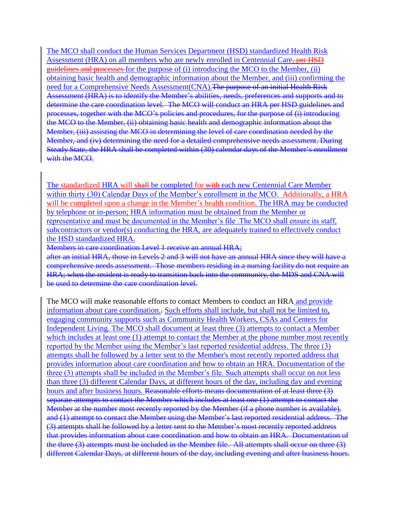The MCO shall conduct the Human Services Department (HSD) standardized Health Risk Assessment (HRA) on all members who are newly enrolled in Centennial Care, per HSD guidelines and processes for the purpose of (i) introducing the MCO to the Member, (ii) obtaining basic health and demographic information about the Member, and (iii) confirming the need for a Comprehensive Needs Assessment(CNA).The purpose of an initial Health Risk Assessment (HRA) is to identify the Member's abilities, needs, preferences and supports and to determine the care coordination level. The MCO will conduct an HRA per HSD guidelines and processes, together with the MCO's policies and procedures, for the purpose of (i) introducing the MCO to the Member, (ii) obtaining basic health and demographic information about the Member, (iii) assisting the MCO in determining the level of care coordination needed by the Member, and (iv) determining the need for a detailed comprehensive needs assessment. During Steady State, the HRA shall be completed within (30) calendar days of the Member's enrollment with the MCO.

The standardized HRA will shall be completed for with each new Centennial Care Member within thirty (30) Calendar Days of the Member's enrollment in the MCO. Additionally, a HRA will be completed upon a change in the Member's health condition. The HRA may be conducted by telephone or in-person; HRA information must be obtained from the Member or representative and must be documented in the Member's file .The MCO shall ensure its staff, subcontractors or vendor(s) conducting the HRA, are adequately trained to effectively conduct the HSD standardized HRA.

Members in care coordination Level 1 receive an annual HRA;

after an initial HRA, those in Levels 2 and 3 will not have an annual HRA since they will have a comprehensive needs assessment. Those members residing in a nursing facility do not require an HRA; when the resident is ready to transition back into the community, the MDS and CNA will be used to determine the care coordination level.

The MCO will make reasonable efforts to contact Members to conduct an HRA and provide information about care coordination.. Such efforts shall include, but shall not be limited to, engaging community supports such as Community Health Workers, CSAs and Centers for Independent Living. The MCO shall document at least three (3) attempts to contact a Member which includes at least one (1) attempt to contact the Member at the phone number most recently reported by the Member using the Member's last reported residential address. The three (3) attempts shall be followed by a letter sent to the Member's most recently reported address that provides information about care coordination and how to obtain an HRA. Documentation of the three (3) attempts shall be included in the Member's file. Such attempts shall occur on not less than three (3) different Calendar Days, at different hours of the day, including day and evening hours and after business hours. Reasonable efforts means documentation of at least three (3) separate attempts to contact the Member which includes at least one (1) attempt to contact the Member at the number most recently reported by the Member (if a phone number is available), and (1) attempt to contact the Member using the Member's last reported residential address. The (3) attempts shall be followed by a letter sent to the Member's most recently reported address that provides information about care coordination and how to obtain an HRA. Documentation of the three (3) attempts must be included in the Member file. All attempts shall occur on three (3) different Calendar Days, at different hours of the day, including evening and after business hours.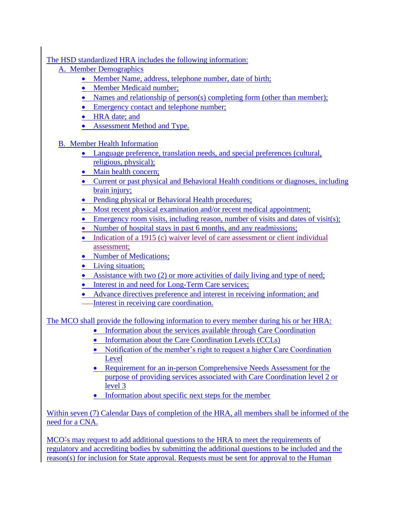The HSD standardized HRA includes the following information:

- A. Member Demographics
	- Member Name, address, telephone number, date of birth;
	- Member Medicaid number;
	- Names and relationship of person(s) completing form (other than member);
	- Emergency contact and telephone number;
	- HRA date; and
	- Assessment Method and Type.
- B. Member Health Information
	- Language preference, translation needs, and special preferences (cultural, religious, physical);
	- Main health concern;
	- Current or past physical and Behavioral Health conditions or diagnoses, including brain injury;
	- Pending physical or Behavioral Health procedures;
	- Most recent physical examination and/or recent medical appointment;
	- $\bullet$  Emergency room visits, including reason, number of visits and dates of visit(s);
	- Number of hospital stays in past 6 months, and any readmissions;
	- Indication of a 1915 (c) waiver level of care assessment or client individual assessment;
	- Number of Medications;
	- Living situation:
	- Assistance with two (2) or more activities of daily living and type of need;
	- Interest in and need for Long-Term Care services;
	- Advance directives preference and interest in receiving information; and
	- Interest in receiving care coordination.

The MCO shall provide the following information to every member during his or her HRA:

- Information about the services available through Care Coordination
- Information about the Care Coordination Levels (CCLs)
- Notification of the member's right to request a higher Care Coordination Level
- Requirement for an in-person Comprehensive Needs Assessment for the purpose of providing services associated with Care Coordination level 2 or level 3
- Information about specific next steps for the member

Within seven (7) Calendar Days of completion of the HRA, all members shall be informed of the need for a CNA.

MCO's may request to add additional questions to the HRA to meet the requirements of regulatory and accrediting bodies by submitting the additional questions to be included and the reason(s) for inclusion for State approval. Requests must be sent for approval to the Human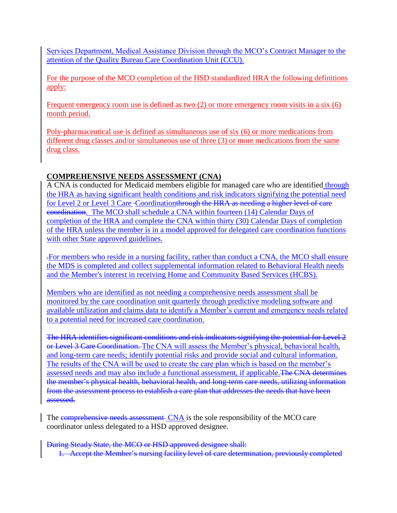Services Department, Medical Assistance Division through the MCO's Contract Manager to the attention of the Quality Bureau Care Coordination Unit (CCU).

For the purpose of the MCO completion of the HSD standardized HRA the following definitions apply:

Frequent emergency room use is defined as two (2) or more emergency room visits in a six (6) month period.

Poly-pharmaceutical use is defined as simultaneous use of six (6) or more medications from different drug classes and/or simultaneous use of three (3) or more medications from the same drug class.

# **COMPREHENSIVE NEEDS ASSESSMENT (CNA)**

A CNA is conducted for Medicaid members eligible for managed care who are identified through the HRA as having significant health conditions and risk indicators signifying the potential need for Level 2 or Level 3 Care - Coordination through the HRA as needing a higher level of care coordination. The MCO shall schedule a CNA within fourteen (14) Calendar Days of completion of the HRA and complete the CNA within thirty (30) Calendar Days of completion of the HRA unless the member is in a model approved for delegated care coordination functions with other State approved guidelines.

.For members who reside in a nursing facility, rather than conduct a CNA, the MCO shall ensure the MDS is completed and collect supplemental information related to Behavioral Health needs and the Member's interest in receiving Home and Community Based Services (HCBS).

Members who are identified as not needing a comprehensive needs assessment shall be monitored by the care coordination unit quarterly through predictive modeling software and available utilization and claims data to identify a Member's current and emergency needs related to a potential need for increased care coordination.

The HRA identifies significant conditions and risk indicators signifying the potential for Level 2 or Level 3 Care Coordination. The CNA will assess the Member's physical, behavioral health, and long-term care needs; identify potential risks and provide social and cultural information. The results of the CNA will be used to create the care plan which is based on the member's assessed needs and may also include a functional assessment, if applicable.The CNA determines the member's physical health, behavioral health, and long-term care needs, utilizing information from the assessment process to establish a care plan that addresses the needs that have been assessed.

The comprehensive needs assessment CNA is the sole responsibility of the MCO care coordinator unless delegated to a HSD approved designee.

During Steady State, the MCO or HSD approved designee shall:

1. Accept the Member's nursing facility level of care determination, previously completed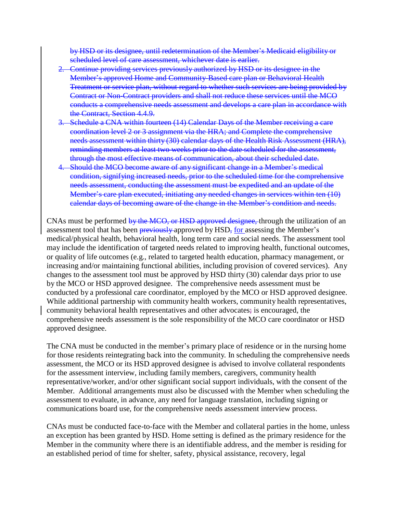by HSD or its designee, until redetermination of the Member's Medicaid eligibility or scheduled level of care assessment, whichever date is earlier.

- 2. Continue providing services previously authorized by HSD or its designee in the Member's approved Home and Community-Based care plan or Behavioral Health Treatment or service plan, without regard to whether such services are being provided by Contract or Non-Contract providers and shall not reduce these services until the MCO conducts a comprehensive needs assessment and develops a care plan in accordance with the Contract, Section 4.4.9.
- 3. Schedule a CNA within fourteen (14) Calendar Days of the Member receiving a care coordination level 2 or 3 assignment via the HRA; and Complete the comprehensive needs assessment within thirty (30) calendar days of the Health Risk Assessment (HRA), reminding members at least two weeks prior to the date scheduled for the assessment, through the most effective means of communication, about their scheduled date.
- 4. Should the MCO become aware of any significant change in a Member's medical condition, signifying increased needs, prior to the scheduled time for the comprehensive needs assessment, conducting the assessment must be expedited and an update of the Member's care plan executed, initiating any needed changes in services within ten (10) calendar days of becoming aware of the change in the Member's condition and needs.

CNAs must be performed by the MCO, or HSD approved designee, through the utilization of an assessment tool that has been **previously** approved by HSD<sub>7</sub> for assessing the Member's medical/physical health, behavioral health, long term care and social needs. The assessment tool may include the identification of targeted needs related to improving health, functional outcomes, or quality of life outcomes (e.g., related to targeted health education, pharmacy management, or increasing and/or maintaining functional abilities, including provision of covered services). Any changes to the assessment tool must be approved by HSD thirty (30) calendar days prior to use by the MCO or HSD approved designee. The comprehensive needs assessment must be conducted by a professional care coordinator, employed by the MCO or HSD approved designee. While additional partnership with community health workers, community health representatives, community behavioral health representatives and other advocates; is encouraged, the comprehensive needs assessment is the sole responsibility of the MCO care coordinator or HSD approved designee.

The CNA must be conducted in the member's primary place of residence or in the nursing home for those residents reintegrating back into the community. In scheduling the comprehensive needs assessment, the MCO or its HSD approved designee is advised to involve collateral respondents for the assessment interview, including family members, caregivers, community health representative/worker, and/or other significant social support individuals, with the consent of the Member. Additional arrangements must also be discussed with the Member when scheduling the assessment to evaluate, in advance, any need for language translation, including signing or communications board use, for the comprehensive needs assessment interview process.

CNAs must be conducted face-to-face with the Member and collateral parties in the home, unless an exception has been granted by HSD. Home setting is defined as the primary residence for the Member in the community where there is an identifiable address, and the member is residing for an established period of time for shelter, safety, physical assistance, recovery, legal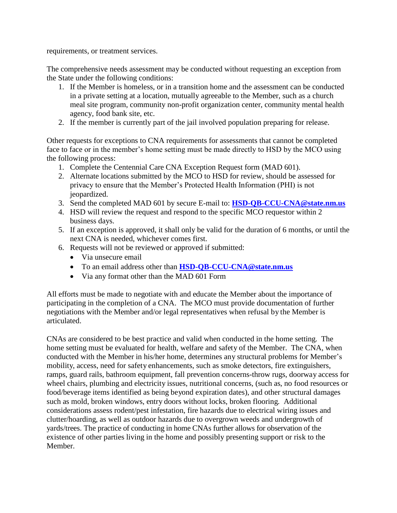requirements, or treatment services.

The comprehensive needs assessment may be conducted without requesting an exception from the State under the following conditions:

- 1. If the Member is homeless, or in a transition home and the assessment can be conducted in a private setting at a location, mutually agreeable to the Member, such as a church meal site program, community non-profit organization center, community mental health agency, food bank site, etc.
- 2. If the member is currently part of the jail involved population preparing for release.

Other requests for exceptions to CNA requirements for assessments that cannot be completed face to face or in the member's home setting must be made directly to HSD by the MCO using the following process:

- 1. Complete the Centennial Care CNA Exception Request form (MAD 601).
- 2. Alternate locations submitted by the MCO to HSD for review, should be assessed for privacy to ensure that the Member's Protected Health Information (PHI) is not jeopardized.
- 3. Send the completed MAD 601 by secure E-mail to: **[HSD-QB-CCU-CNA@state.nm.us](mailto:HSD-QB-CCU-CNA@state.nm.us)**
- 4. HSD will review the request and respond to the specific MCO requestor within 2 business days.
- 5. If an exception is approved, it shall only be valid for the duration of 6 months, or until the next CNA is needed, whichever comes first.
- 6. Requests will not be reviewed or approved if submitted:
	- Via unsecure email
	- To an email address other than **[HSD-QB-CCU-CNA@state.nm.us](mailto:HSD-QB-CCU-CNA@state.nm.us)**
	- Via any format other than the MAD 601 Form

All efforts must be made to negotiate with and educate the Member about the importance of participating in the completion of a CNA. The MCO must provide documentation of further negotiations with the Member and/or legal representatives when refusal by the Member is articulated.

CNAs are considered to be best practice and valid when conducted in the home setting. The home setting must be evaluated for health, welfare and safety of the Member. The CNA, when conducted with the Member in his/her home, determines any structural problems for Member's mobility, access, need for safety enhancements, such as smoke detectors, fire extinguishers, ramps, guard rails, bathroom equipment, fall prevention concerns-throw rugs, doorway access for wheel chairs, plumbing and electricity issues, nutritional concerns, (such as, no food resources or food/beverage items identified as being beyond expiration dates), and other structural damages such as mold, broken windows, entry doors without locks, broken flooring. Additional considerations assess rodent/pest infestation, fire hazards due to electrical wiring issues and clutter/hoarding, as well as outdoor hazards due to overgrown weeds and undergrowth of yards/trees. The practice of conducting in home CNAs further allows for observation of the existence of other parties living in the home and possibly presenting support or risk to the Member.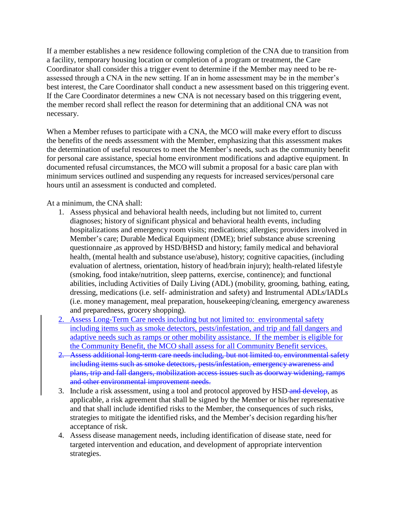If a member establishes a new residence following completion of the CNA due to transition from a facility, temporary housing location or completion of a program or treatment, the Care Coordinator shall consider this a trigger event to determine if the Member may need to be reassessed through a CNA in the new setting. If an in home assessment may be in the member's best interest, the Care Coordinator shall conduct a new assessment based on this triggering event. If the Care Coordinator determines a new CNA is not necessary based on this triggering event, the member record shall reflect the reason for determining that an additional CNA was not necessary.

When a Member refuses to participate with a CNA, the MCO will make every effort to discuss the benefits of the needs assessment with the Member, emphasizing that this assessment makes the determination of useful resources to meet the Member's needs, such as the community benefit for personal care assistance, special home environment modifications and adaptive equipment. In documented refusal circumstances, the MCO will submit a proposal for a basic care plan with minimum services outlined and suspending any requests for increased services/personal care hours until an assessment is conducted and completed.

At a minimum, the CNA shall:

- 1. Assess physical and behavioral health needs, including but not limited to, current diagnoses; history of significant physical and behavioral health events, including hospitalizations and emergency room visits; medications; allergies; providers involved in Member's care; Durable Medical Equipment (DME); brief substance abuse screening questionnaire ,as approved by HSD/BHSD and history; family medical and behavioral health, (mental health and substance use/abuse), history; cognitive capacities, (including evaluation of alertness, orientation, history of head/brain injury); health-related lifestyle (smoking, food intake/nutrition, sleep patterns, exercise, continence); and functional abilities, including Activities of Daily Living (ADL) (mobility, grooming, bathing, eating, dressing, medications (i.e. self- administration and safety) and Instrumental ADLs/IADLs (i.e. money management, meal preparation, housekeeping/cleaning, emergency awareness and preparedness, grocery shopping).
- 2. Assess Long-Term Care needs including but not limited to: environmental safety including items such as smoke detectors, pests/infestation, and trip and fall dangers and adaptive needs such as ramps or other mobility assistance. If the member is eligible for the Community Benefit, the MCO shall assess for all Community Benefit services.
- 2. Assess additional long-term care needs including, but not limited to, environmental safety including items such as smoke detectors, pests/infestation, emergency awareness and plans, trip and fall dangers, mobilization access issues such as doorway widening, ramps and other environmental improvement needs.
- 3. Include a risk assessment, using a tool and protocol approved by HSD-and develop, as applicable, a risk agreement that shall be signed by the Member or his/her representative and that shall include identified risks to the Member, the consequences of such risks, strategies to mitigate the identified risks, and the Member's decision regarding his/her acceptance of risk.
- 4. Assess disease management needs, including identification of disease state, need for targeted intervention and education, and development of appropriate intervention strategies.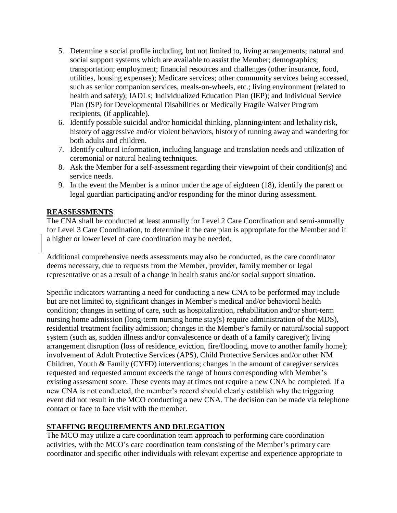- 5. Determine a social profile including, but not limited to, living arrangements; natural and social support systems which are available to assist the Member; demographics; transportation; employment; financial resources and challenges (other insurance, food, utilities, housing expenses); Medicare services; other community services being accessed, such as senior companion services, meals-on-wheels, etc.; living environment (related to health and safety); IADLs; Individualized Education Plan (IEP); and Individual Service Plan (ISP) for Developmental Disabilities or Medically Fragile Waiver Program recipients, (if applicable).
- 6. Identify possible suicidal and/or homicidal thinking, planning/intent and lethality risk, history of aggressive and/or violent behaviors, history of running away and wandering for both adults and children.
- 7. Identify cultural information, including language and translation needs and utilization of ceremonial or natural healing techniques.
- 8. Ask the Member for a self-assessment regarding their viewpoint of their condition(s) and service needs.
- 9. In the event the Member is a minor under the age of eighteen (18), identify the parent or legal guardian participating and/or responding for the minor during assessment.

#### **REASSESSMENTS**

The CNA shall be conducted at least annually for Level 2 Care Coordination and semi-annually for Level 3 Care Coordination, to determine if the care plan is appropriate for the Member and if a higher or lower level of care coordination may be needed.

Additional comprehensive needs assessments may also be conducted, as the care coordinator deems necessary, due to requests from the Member, provider, family member or legal representative or as a result of a change in health status and/or social support situation.

Specific indicators warranting a need for conducting a new CNA to be performed may include but are not limited to, significant changes in Member's medical and/or behavioral health condition; changes in setting of care, such as hospitalization, rehabilitation and/or short-term nursing home admission (long-term nursing home stay(s) require administration of the MDS), residential treatment facility admission; changes in the Member's family or natural/social support system (such as, sudden illness and/or convalescence or death of a family caregiver); living arrangement disruption (loss of residence, eviction, fire/flooding, move to another family home); involvement of Adult Protective Services (APS), Child Protective Services and/or other NM Children, Youth & Family (CYFD) interventions; changes in the amount of caregiver services requested and requested amount exceeds the range of hours corresponding with Member's existing assessment score. These events may at times not require a new CNA be completed. If a new CNA is not conducted, the member's record should clearly establish why the triggering event did not result in the MCO conducting a new CNA. The decision can be made via telephone contact or face to face visit with the member.

#### **STAFFING REQUIREMENTS AND DELEGATION**

The MCO may utilize a care coordination team approach to performing care coordination activities, with the MCO's care coordination team consisting of the Member's primary care coordinator and specific other individuals with relevant expertise and experience appropriate to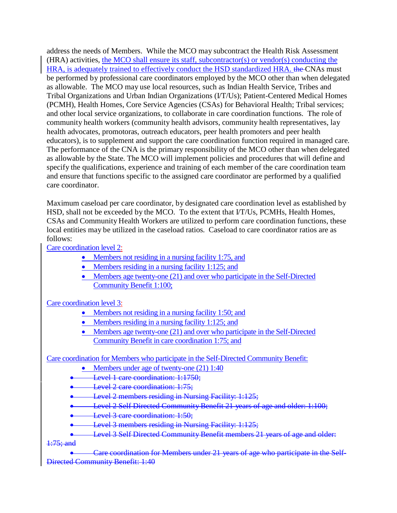address the needs of Members. While the MCO may subcontract the Health Risk Assessment (HRA) activities, the MCO shall ensure its staff, subcontractor(s) or vendor(s) conducting the HRA, is adequately trained to effectively conduct the HSD standardized HRA. the CNAs must be performed by professional care coordinators employed by the MCO other than when delegated as allowable. The MCO may use local resources, such as Indian Health Service, Tribes and Tribal Organizations and Urban Indian Organizations (I/T/Us); Patient-Centered Medical Homes (PCMH), Health Homes, Core Service Agencies (CSAs) for Behavioral Health; Tribal services; and other local service organizations, to collaborate in care coordination functions. The role of community health workers (community health advisors, community health representatives, lay health advocates, promotoras, outreach educators, peer health promoters and peer health educators), is to supplement and support the care coordination function required in managed care. The performance of the CNA is the primary responsibility of the MCO other than when delegated as allowable by the State. The MCO will implement policies and procedures that will define and specify the qualifications, experience and training of each member of the care coordination team and ensure that functions specific to the assigned care coordinator are performed by a qualified care coordinator.

Maximum caseload per care coordinator, by designated care coordination level as established by HSD, shall not be exceeded by the MCO. To the extent that I/T/Us, PCMHs, Health Homes, CSAs and Community Health Workers are utilized to perform care coordination functions, these local entities may be utilized in the caseload ratios. Caseload to care coordinator ratios are as follows:

Care coordination level 2:

- Members not residing in a nursing facility 1:75, and
- Members residing in a nursing facility 1:125; and
- Members age twenty-one (21) and over who participate in the Self-Directed Community Benefit 1:100;

Care coordination level 3:

- Members not residing in a nursing facility 1:50; and
- $\bullet$  Members residing in a nursing facility 1:125; and
- Members age twenty-one (21) and over who participate in the Self-Directed Community Benefit in care coordination 1:75; and

Care coordination for Members who participate in the Self-Directed Community Benefit:

- Members under age of twenty-one (21) 1:40
- Level 1 care coordination: 1:1750;
- Level 2 care coordination: 1:75;
- Level 2 members residing in Nursing Facility: 1:125;
- Level 2 Self Directed Community Benefit 21 years of age and older: 1:100;
- Level 3 care coordination: 1:50;
- Level 3 members residing in Nursing Facility: 1:125;

**Level 3 Self Directed Community Benefit members 21 years of age and older:**  $1:75$ ; and

 Care coordination for Members under 21 years of age who participate in the Self-Directed Community Benefit: 1:40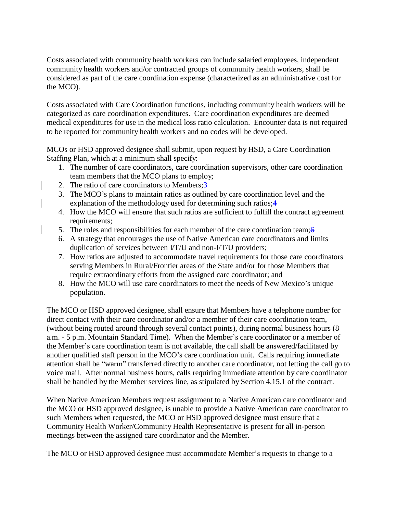Costs associated with community health workers can include salaried employees, independent community health workers and/or contracted groups of community health workers, shall be considered as part of the care coordination expense (characterized as an administrative cost for the MCO).

Costs associated with Care Coordination functions, including community health workers will be categorized as care coordination expenditures. Care coordination expenditures are deemed medical expenditures for use in the medical loss ratio calculation. Encounter data is not required to be reported for community health workers and no codes will be developed.

MCOs or HSD approved designee shall submit, upon request by HSD, a Care Coordination Staffing Plan, which at a minimum shall specify:

- 1. The number of care coordinators, care coordination supervisors, other care coordination team members that the MCO plans to employ;
- 2. The ratio of care coordinators to Members; 3
- 3. The MCO's plans to maintain ratios as outlined by care coordination level and the explanation of the methodology used for determining such ratios;4
- 4. How the MCO will ensure that such ratios are sufficient to fulfill the contract agreement requirements;
- 5. The roles and responsibilities for each member of the care coordination team;  $\theta$
- 6. A strategy that encourages the use of Native American care coordinators and limits duplication of services between I/T/U and non-I/T/U providers;
- 7. How ratios are adjusted to accommodate travel requirements for those care coordinators serving Members in Rural/Frontier areas of the State and/or for those Members that require extraordinary efforts from the assigned care coordinator; and
- 8. How the MCO will use care coordinators to meet the needs of New Mexico's unique population.

The MCO or HSD approved designee, shall ensure that Members have a telephone number for direct contact with their care coordinator and/or a member of their care coordination team, (without being routed around through several contact points), during normal business hours (8 a.m. - 5 p.m. Mountain Standard Time). When the Member's care coordinator or a member of the Member's care coordination team is not available, the call shall be answered/facilitated by another qualified staff person in the MCO's care coordination unit. Calls requiring immediate attention shall be "warm" transferred directly to another care coordinator, not letting the call go to voice mail. After normal business hours, calls requiring immediate attention by care coordinator shall be handled by the Member services line, as stipulated by Section 4.15.1 of the contract.

When Native American Members request assignment to a Native American care coordinator and the MCO or HSD approved designee, is unable to provide a Native American care coordinator to such Members when requested, the MCO or HSD approved designee must ensure that a Community Health Worker/Community Health Representative is present for all in-person meetings between the assigned care coordinator and the Member.

The MCO or HSD approved designee must accommodate Member's requests to change to a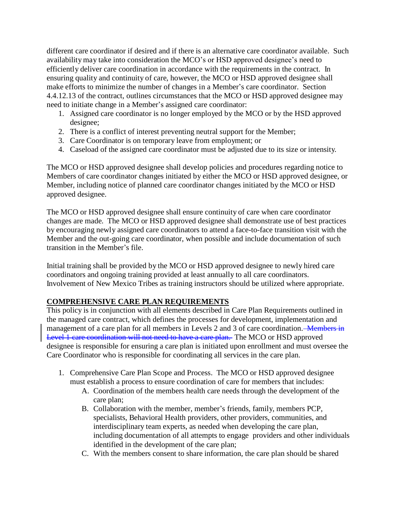different care coordinator if desired and if there is an alternative care coordinator available. Such availability may take into consideration the MCO's or HSD approved designee's need to efficiently deliver care coordination in accordance with the requirements in the contract. In ensuring quality and continuity of care, however, the MCO or HSD approved designee shall make efforts to minimize the number of changes in a Member's care coordinator. Section 4.4.12.13 of the contract, outlines circumstances that the MCO or HSD approved designee may need to initiate change in a Member's assigned care coordinator:

- 1. Assigned care coordinator is no longer employed by the MCO or by the HSD approved designee;
- 2. There is a conflict of interest preventing neutral support for the Member;
- 3. Care Coordinator is on temporary leave from employment; or
- 4. Caseload of the assigned care coordinator must be adjusted due to its size or intensity.

The MCO or HSD approved designee shall develop policies and procedures regarding notice to Members of care coordinator changes initiated by either the MCO or HSD approved designee, or Member, including notice of planned care coordinator changes initiated by the MCO or HSD approved designee.

The MCO or HSD approved designee shall ensure continuity of care when care coordinator changes are made. The MCO or HSD approved designee shall demonstrate use of best practices by encouraging newly assigned care coordinators to attend a face-to-face transition visit with the Member and the out-going care coordinator, when possible and include documentation of such transition in the Member's file.

Initial training shall be provided by the MCO or HSD approved designee to newly hired care coordinators and ongoing training provided at least annually to all care coordinators. Involvement of New Mexico Tribes as training instructors should be utilized where appropriate.

# **COMPREHENSIVE CARE PLAN REQUIREMENTS**

This policy is in conjunction with all elements described in Care Plan Requirements outlined in the managed care contract, which defines the processes for development, implementation and management of a care plan for all members in Levels 2 and 3 of care coordination. Members in Level 1 care coordination will not need to have a care plan. The MCO or HSD approved designee is responsible for ensuring a care plan is initiated upon enrollment and must oversee the Care Coordinator who is responsible for coordinating all services in the care plan.

- 1. Comprehensive Care Plan Scope and Process. The MCO or HSD approved designee must establish a process to ensure coordination of care for members that includes:
	- A. Coordination of the members health care needs through the development of the care plan;
	- B. Collaboration with the member, member's friends, family, members PCP, specialists, Behavioral Health providers, other providers, communities, and interdisciplinary team experts, as needed when developing the care plan, including documentation of all attempts to engage providers and other individuals identified in the development of the care plan;
	- C. With the members consent to share information, the care plan should be shared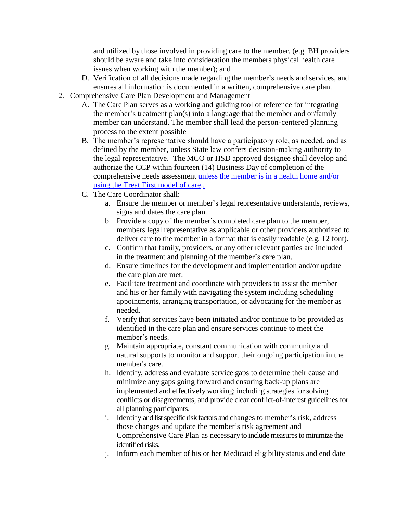and utilized by those involved in providing care to the member. (e.g. BH providers should be aware and take into consideration the members physical health care issues when working with the member); and

- D. Verification of all decisions made regarding the member's needs and services, and ensures all information is documented in a written, comprehensive care plan.
- 2. Comprehensive Care Plan Development and Management
	- A. The Care Plan serves as a working and guiding tool of reference for integrating the member's treatment plan(s) into a language that the member and or/family member can understand. The member shall lead the person-centered planning process to the extent possible
	- B. The member's representative should have a participatory role, as needed, and as defined by the member, unless State law confers decision-making authority to the legal representative. The MCO or HSD approved designee shall develop and authorize the CCP within fourteen (14) Business Day of completion of the comprehensive needs assessment unless the member is in a health home and/or using the Treat First model of care...
	- C. The Care Coordinator shall:
		- a. Ensure the member or member's legal representative understands, reviews, signs and dates the care plan.
		- b. Provide a copy of the member's completed care plan to the member, members legal representative as applicable or other providers authorized to deliver care to the member in a format that is easily readable (e.g. 12 font).
		- c. Confirm that family, providers, or any other relevant parties are included in the treatment and planning of the member's care plan.
		- d. Ensure timelines for the development and implementation and/or update the care plan are met.
		- e. Facilitate treatment and coordinate with providers to assist the member and his or her family with navigating the system including scheduling appointments, arranging transportation, or advocating for the member as needed.
		- f. Verify that services have been initiated and/or continue to be provided as identified in the care plan and ensure services continue to meet the member's needs.
		- g. Maintain appropriate, constant communication with community and natural supports to monitor and support their ongoing participation in the member's care.
		- h. Identify, address and evaluate service gaps to determine their cause and minimize any gaps going forward and ensuring back-up plans are implemented and effectively working; including strategies for solving conflicts or disagreements, and provide clear conflict-of-interest guidelines for all planning participants.
		- i. Identify and list specific risk factors and changes to member's risk, address those changes and update the member's risk agreement and Comprehensive Care Plan as necessary to include measures to minimize the identified risks.
		- j. Inform each member of his or her Medicaid eligibility status and end date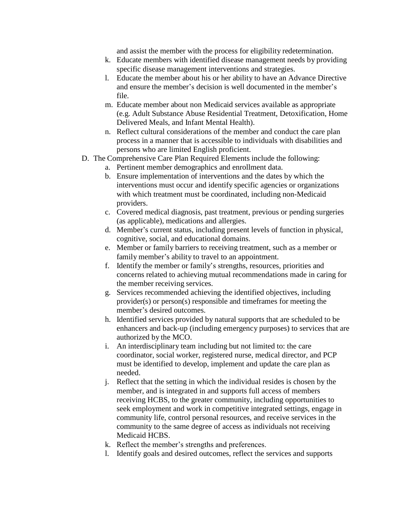and assist the member with the process for eligibility redetermination.

- k. Educate members with identified disease management needs by providing specific disease management interventions and strategies.
- l. Educate the member about his or her ability to have an Advance Directive and ensure the member's decision is well documented in the member's file.
- m. Educate member about non Medicaid services available as appropriate (e.g. Adult Substance Abuse Residential Treatment, Detoxification, Home Delivered Meals, and Infant Mental Health).
- n. Reflect cultural considerations of the member and conduct the care plan process in a manner that is accessible to individuals with disabilities and persons who are limited English proficient.
- D. The Comprehensive Care Plan Required Elements include the following:
	- a. Pertinent member demographics and enrollment data.
		- b. Ensure implementation of interventions and the dates by which the interventions must occur and identify specific agencies or organizations with which treatment must be coordinated, including non-Medicaid providers.
		- c. Covered medical diagnosis, past treatment, previous or pending surgeries (as applicable), medications and allergies.
		- d. Member's current status, including present levels of function in physical, cognitive, social, and educational domains.
		- e. Member or family barriers to receiving treatment, such as a member or family member's ability to travel to an appointment.
		- f. Identify the member or family's strengths, resources, priorities and concerns related to achieving mutual recommendations made in caring for the member receiving services.
		- g. Services recommended achieving the identified objectives, including provider(s) or person(s) responsible and timeframes for meeting the member's desired outcomes.
		- h. Identified services provided by natural supports that are scheduled to be enhancers and back-up (including emergency purposes) to services that are authorized by the MCO.
		- i. An interdisciplinary team including but not limited to: the care coordinator, social worker, registered nurse, medical director, and PCP must be identified to develop, implement and update the care plan as needed.
	- j. Reflect that the setting in which the individual resides is chosen by the member, and is integrated in and supports full access of members receiving HCBS, to the greater community, including opportunities to seek employment and work in competitive integrated settings, engage in community life, control personal resources, and receive services in the community to the same degree of access as individuals not receiving Medicaid HCBS.
	- k. Reflect the member's strengths and preferences.
	- l. Identify goals and desired outcomes, reflect the services and supports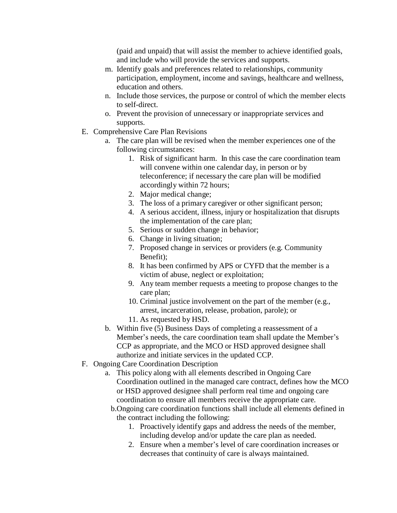(paid and unpaid) that will assist the member to achieve identified goals, and include who will provide the services and supports.

- m. Identify goals and preferences related to relationships, community participation, employment, income and savings, healthcare and wellness, education and others.
- n. Include those services, the purpose or control of which the member elects to self-direct.
- o. Prevent the provision of unnecessary or inappropriate services and supports.
- E. Comprehensive Care Plan Revisions
	- a. The care plan will be revised when the member experiences one of the following circumstances:
		- 1. Risk of significant harm. In this case the care coordination team will convene within one calendar day, in person or by teleconference; if necessary the care plan will be modified accordingly within 72 hours;
		- 2. Major medical change;
		- 3. The loss of a primary caregiver or other significant person;
		- 4. A serious accident, illness, injury or hospitalization that disrupts the implementation of the care plan;
		- 5. Serious or sudden change in behavior;
		- 6. Change in living situation;
		- 7. Proposed change in services or providers (e.g. Community Benefit);
		- 8. It has been confirmed by APS or CYFD that the member is a victim of abuse, neglect or exploitation;
		- 9. Any team member requests a meeting to propose changes to the care plan;
		- 10. Criminal justice involvement on the part of the member (e.g., arrest, incarceration, release, probation, parole); or
		- 11. As requested by HSD.
	- b. Within five (5) Business Days of completing a reassessment of a Member's needs, the care coordination team shall update the Member's CCP as appropriate, and the MCO or HSD approved designee shall authorize and initiate services in the updated CCP.
- F. Ongoing Care Coordination Description
	- a. This policy along with all elements described in Ongoing Care Coordination outlined in the managed care contract, defines how the MCO or HSD approved designee shall perform real time and ongoing care coordination to ensure all members receive the appropriate care.
		- b.Ongoing care coordination functions shall include all elements defined in the contract including the following:
			- 1. Proactively identify gaps and address the needs of the member, including develop and/or update the care plan as needed.
			- 2. Ensure when a member's level of care coordination increases or decreases that continuity of care is always maintained.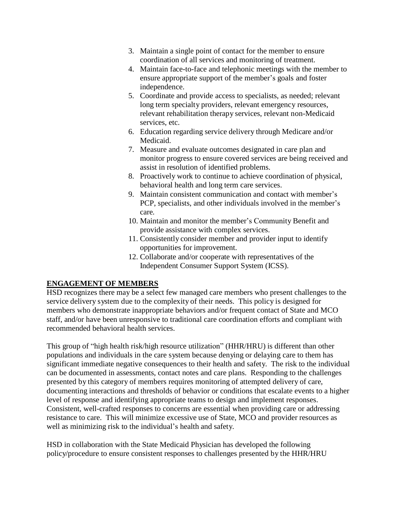- 3. Maintain a single point of contact for the member to ensure coordination of all services and monitoring of treatment.
- 4. Maintain face-to-face and telephonic meetings with the member to ensure appropriate support of the member's goals and foster independence.
- 5. Coordinate and provide access to specialists, as needed; relevant long term specialty providers, relevant emergency resources, relevant rehabilitation therapy services, relevant non-Medicaid services, etc.
- 6. Education regarding service delivery through Medicare and/or Medicaid.
- 7. Measure and evaluate outcomes designated in care plan and monitor progress to ensure covered services are being received and assist in resolution of identified problems.
- 8. Proactively work to continue to achieve coordination of physical, behavioral health and long term care services.
- 9. Maintain consistent communication and contact with member's PCP, specialists, and other individuals involved in the member's care.
- 10. Maintain and monitor the member's Community Benefit and provide assistance with complex services.
- 11. Consistently consider member and provider input to identify opportunities for improvement.
- 12. Collaborate and/or cooperate with representatives of the Independent Consumer Support System (ICSS).

# **ENGAGEMENT OF MEMBERS**

HSD recognizes there may be a select few managed care members who present challenges to the service delivery system due to the complexity of their needs. This policy is designed for members who demonstrate inappropriate behaviors and/or frequent contact of State and MCO staff, and/or have been unresponsive to traditional care coordination efforts and compliant with recommended behavioral health services.

This group of "high health risk/high resource utilization" (HHR/HRU) is different than other populations and individuals in the care system because denying or delaying care to them has significant immediate negative consequences to their health and safety. The risk to the individual can be documented in assessments, contact notes and care plans. Responding to the challenges presented by this category of members requires monitoring of attempted delivery of care, documenting interactions and thresholds of behavior or conditions that escalate events to a higher level of response and identifying appropriate teams to design and implement responses. Consistent, well-crafted responses to concerns are essential when providing care or addressing resistance to care. This will minimize excessive use of State, MCO and provider resources as well as minimizing risk to the individual's health and safety.

HSD in collaboration with the State Medicaid Physician has developed the following policy/procedure to ensure consistent responses to challenges presented by the HHR/HRU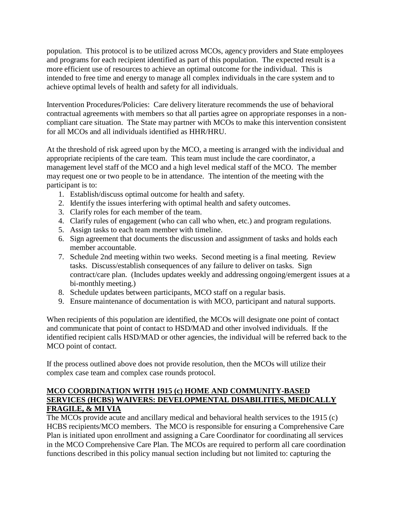population. This protocol is to be utilized across MCOs, agency providers and State employees and programs for each recipient identified as part of this population. The expected result is a more efficient use of resources to achieve an optimal outcome for the individual. This is intended to free time and energy to manage all complex individuals in the care system and to achieve optimal levels of health and safety for all individuals.

Intervention Procedures/Policies: Care delivery literature recommends the use of behavioral contractual agreements with members so that all parties agree on appropriate responses in a noncompliant care situation. The State may partner with MCOs to make this intervention consistent for all MCOs and all individuals identified as HHR/HRU.

At the threshold of risk agreed upon by the MCO, a meeting is arranged with the individual and appropriate recipients of the care team. This team must include the care coordinator, a management level staff of the MCO and a high level medical staff of the MCO. The member may request one or two people to be in attendance. The intention of the meeting with the participant is to:

- 1. Establish/discuss optimal outcome for health and safety.
- 2. Identify the issues interfering with optimal health and safety outcomes.
- 3. Clarify roles for each member of the team.
- 4. Clarify rules of engagement (who can call who when, etc.) and program regulations.
- 5. Assign tasks to each team member with timeline.
- 6. Sign agreement that documents the discussion and assignment of tasks and holds each member accountable.
- 7. Schedule 2nd meeting within two weeks. Second meeting is a final meeting. Review tasks. Discuss/establish consequences of any failure to deliver on tasks. Sign contract/care plan. (Includes updates weekly and addressing ongoing/emergent issues at a bi-monthly meeting.)
- 8. Schedule updates between participants, MCO staff on a regular basis.
- 9. Ensure maintenance of documentation is with MCO, participant and natural supports.

When recipients of this population are identified, the MCOs will designate one point of contact and communicate that point of contact to HSD/MAD and other involved individuals. If the identified recipient calls HSD/MAD or other agencies, the individual will be referred back to the MCO point of contact.

If the process outlined above does not provide resolution, then the MCOs will utilize their complex case team and complex case rounds protocol.

#### **MCO COORDINATION WITH 1915 (c) HOME AND COMMUNITY-BASED SERVICES (HCBS) WAIVERS: DEVELOPMENTAL DISABILITIES, MEDICALLY FRAGILE, & MI VIA**

The MCOs provide acute and ancillary medical and behavioral health services to the 1915 (c) HCBS recipients/MCO members. The MCO is responsible for ensuring a Comprehensive Care Plan is initiated upon enrollment and assigning a Care Coordinator for coordinating all services in the MCO Comprehensive Care Plan. The MCOs are required to perform all care coordination functions described in this policy manual section including but not limited to: capturing the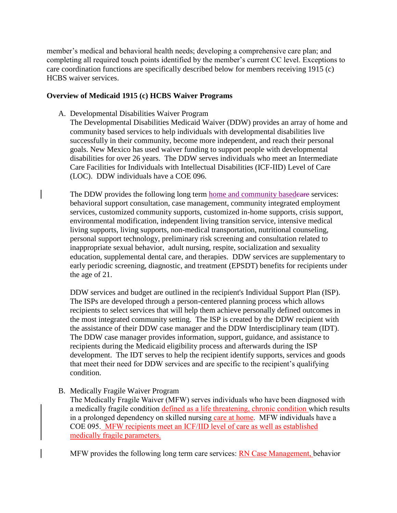member's medical and behavioral health needs; developing a comprehensive care plan; and completing all required touch points identified by the member's current CC level. Exceptions to care coordination functions are specifically described below for members receiving 1915 (c) HCBS waiver services.

#### **Overview of Medicaid 1915 (c) HCBS Waiver Programs**

A. Developmental Disabilities Waiver Program

The Developmental Disabilities Medicaid Waiver (DDW) provides an array of home and community based services to help individuals with developmental disabilities live successfully in their community, become more independent, and reach their personal goals. New Mexico has used waiver funding to support people with developmental disabilities for over 26 years. The DDW serves individuals who meet an Intermediate Care Facilities for Individuals with Intellectual Disabilities (ICF-IID) Level of Care (LOC). DDW individuals have a COE 096.

The DDW provides the following long term home and community basedeare services: behavioral support consultation, case management, community integrated employment services, customized community supports, customized in-home supports, crisis support, environmental modification, independent living transition service, intensive medical living supports, living supports, non-medical transportation, nutritional counseling, personal support technology, preliminary risk screening and consultation related to inappropriate sexual behavior, adult nursing, respite, socialization and sexuality education, supplemental dental care, and therapies. DDW services are supplementary to early periodic screening, diagnostic, and treatment (EPSDT) benefits for recipients under the age of 21.

DDW services and budget are outlined in the recipient's Individual Support Plan (ISP). The ISPs are developed through a person-centered planning process which allows recipients to select services that will help them achieve personally defined outcomes in the most integrated community setting. The ISP is created by the DDW recipient with the assistance of their DDW case manager and the DDW Interdisciplinary team (IDT). The DDW case manager provides information, support, guidance, and assistance to recipients during the Medicaid eligibility process and afterwards during the ISP development. The IDT serves to help the recipient identify supports, services and goods that meet their need for DDW services and are specific to the recipient's qualifying condition.

B. Medically Fragile Waiver Program

The Medically Fragile Waiver (MFW) serves individuals who have been diagnosed with a medically fragile condition defined as a life threatening, chronic condition which results in a prolonged dependency on skilled nursing care at home. MFW individuals have a COE 095. MFW recipients meet an ICF/IID level of care as well as established medically fragile parameters.

MFW provides the following long term care services: **RN Case Management**, behavior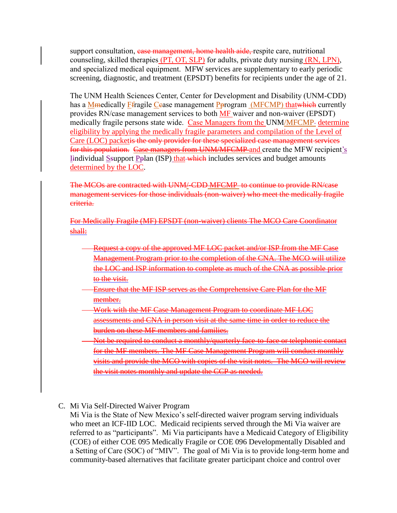support consultation, ease management, home health aide, respite care, nutritional counseling, skilled therapies (PT, OT, SLP) for adults, private duty nursing (RN, LPN), and specialized medical equipment. MFW services are supplementary to early periodic screening, diagnostic, and treatment (EPSDT) benefits for recipients under the age of 21.

The UNM Health Sciences Center, Center for Development and Disability (UNM-CDD) has a Mmedically Ffragile Cease management Pprogram (MFCMP) that which currently provides RN/case management services to both MF waiver and non-waiver (EPSDT) medically fragile persons state wide. Case Managers from the UNM/MFCMP- determine eligibility by applying the medically fragile parameters and compilation of the Level of Care (LOC) packetis the only provider for these specialized case management services for this population. Case managers from UNM/MFCMP and create the MFW recipient's Iindividual Ssupport Pplan (ISP) that which includes services and budget amounts determined by the LOC.

The MCOs are contracted with UNM/-CDD MFCMP to continue to provide RN/case management services for those individuals (non-waiver) who meet the medically fragile criteria.

For Medically Fragile (MF) EPSDT (non-waiver) clients The MCO Care Coordinator shall:

- Request a copy of the approved MF LOC packet and/or ISP from the MF Case Management Program prior to the completion of the CNA. The MCO will utilize the LOC and ISP information to complete as much of the CNA as possible prior to the visit.
- Ensure that the MF ISP serves as the Comprehensive Care Plan for the MF member.
- Work with the MF Case Management Program to coordinate MF LOC assessments and CNA in person visit at the same time in order to reduce the burden on these MF members and families.
- Not be required to conduct a monthly/quarterly face-to-face or telephonic contact for the MF members. The MF Case Management Program will conduct monthly visits and provide the MCO with copies of the visit notes. The MCO will review the visit notes monthly and update the CCP as needed.
- C. Mi Via Self-Directed Waiver Program

Mi Via is the State of New Mexico's self-directed waiver program serving individuals who meet an ICF-IID LOC. Medicaid recipients served through the Mi Via waiver are referred to as "participants". Mi Via participants have a Medicaid Category of Eligibility (COE) of either COE 095 Medically Fragile or COE 096 Developmentally Disabled and a Setting of Care (SOC) of "MIV". The goal of Mi Via is to provide long-term home and community-based alternatives that facilitate greater participant choice and control over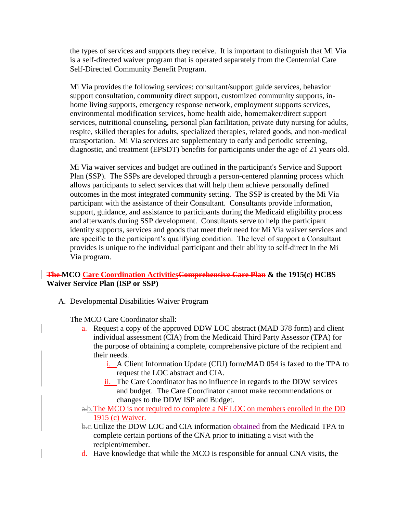the types of services and supports they receive. It is important to distinguish that Mi Via is a self-directed waiver program that is operated separately from the Centennial Care Self-Directed Community Benefit Program.

Mi Via provides the following services: consultant/support guide services, behavior support consultation, community direct support, customized community supports, inhome living supports, emergency response network, employment supports services, environmental modification services, home health aide, homemaker/direct support services, nutritional counseling, personal plan facilitation, private duty nursing for adults, respite, skilled therapies for adults, specialized therapies, related goods, and non-medical transportation. Mi Via services are supplementary to early and periodic screening, diagnostic, and treatment (EPSDT) benefits for participants under the age of 21 years old.

Mi Via waiver services and budget are outlined in the participant's Service and Support Plan (SSP). The SSPs are developed through a person-centered planning process which allows participants to select services that will help them achieve personally defined outcomes in the most integrated community setting. The SSP is created by the Mi Via participant with the assistance of their Consultant. Consultants provide information, support, guidance, and assistance to participants during the Medicaid eligibility process and afterwards during SSP development. Consultants serve to help the participant identify supports, services and goods that meet their need for Mi Via waiver services and are specific to the participant's qualifying condition. The level of support a Consultant provides is unique to the individual participant and their ability to self-direct in the Mi Via program.

#### **The MCO Care Coordination ActivitiesComprehensive Care Plan & the 1915(c) HCBS Waiver Service Plan (ISP or SSP)**

A. Developmental Disabilities Waiver Program

The MCO Care Coordinator shall:

- a. Request a copy of the approved DDW LOC abstract (MAD 378 form) and client individual assessment (CIA) from the Medicaid Third Party Assessor (TPA) for the purpose of obtaining a complete, comprehensive picture of the recipient and their needs.
	- i. A Client Information Update (CIU) form/MAD 054 is faxed to the TPA to request the LOC abstract and CIA.
	- ii. The Care Coordinator has no influence in regards to the DDW services and budget. The Care Coordinator cannot make recommendations or changes to the DDW ISP and Budget.
- a.b. The MCO is not required to complete a NF LOC on members enrolled in the DD 1915 (c) Waiver.
- b.c.Utilize the DDW LOC and CIA information obtained from the Medicaid TPA to complete certain portions of the CNA prior to initiating a visit with the recipient/member.
- d. Have knowledge that while the MCO is responsible for annual CNA visits, the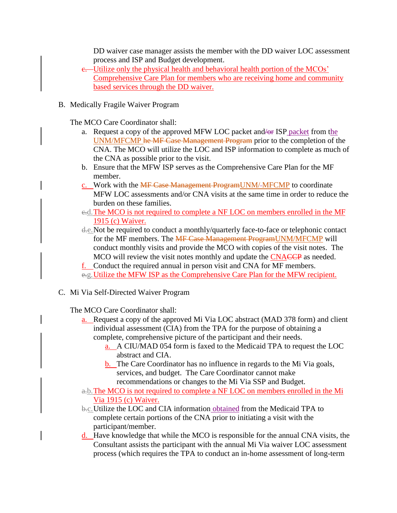DD waiver case manager assists the member with the DD waiver LOC assessment process and ISP and Budget development.

- e. Utilize only the physical health and behavioral health portion of the MCOs' Comprehensive Care Plan for members who are receiving home and community based services through the DD waiver.
- B. Medically Fragile Waiver Program

The MCO Care Coordinator shall:

- a. Request a copy of the approved MFW LOC packet and/or ISP packet from the UNM/MFCMP he MF Case Management Program prior to the completion of the CNA. The MCO will utilize the LOC and ISP information to complete as much of the CNA as possible prior to the visit.
- b. Ensure that the MFW ISP serves as the Comprehensive Care Plan for the MF member.
- c. Work with the MF Case Management ProgramUNM/ MFCMP to coordinate MFW LOC assessments and/or CNA visits at the same time in order to reduce the burden on these families.
- c.d.The MCO is not required to complete a NF LOC on members enrolled in the MF 1915 (c) Waiver.
- d.e.Not be required to conduct a monthly/quarterly face-to-face or telephonic contact for the MF members. The MF Case Management ProgramUNM/MFCMP will conduct monthly visits and provide the MCO with copies of the visit notes. The MCO will review the visit notes monthly and update the CNACCP as needed.

f. Conduct the required annual in person visit and CNA for MF members.

- e.g.Utilize the MFW ISP as the Comprehensive Care Plan for the MFW recipient.
- C. Mi Via Self-Directed Waiver Program

The MCO Care Coordinator shall:

- a. Request a copy of the approved Mi Via LOC abstract (MAD 378 form) and client individual assessment (CIA) from the TPA for the purpose of obtaining a complete, comprehensive picture of the participant and their needs.
	- a. A CIU/MAD 054 form is faxed to the Medicaid TPA to request the LOC abstract and CIA.
	- b. The Care Coordinator has no influence in regards to the Mi Via goals, services, and budget. The Care Coordinator cannot make recommendations or changes to the Mi Via SSP and Budget.
- a.b.The MCO is not required to complete a NF LOC on members enrolled in the Mi Via 1915 (c) Waiver.
- b.c. Utilize the LOC and CIA information obtained from the Medicaid TPA to complete certain portions of the CNA prior to initiating a visit with the participant/member.
- d. Have knowledge that while the MCO is responsible for the annual CNA visits, the Consultant assists the participant with the annual Mi Via waiver LOC assessment process (which requires the TPA to conduct an in-home assessment of long-term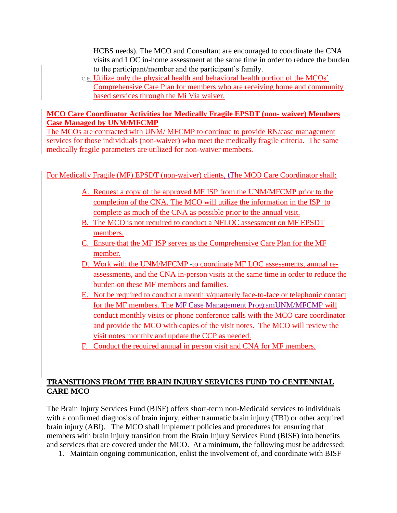HCBS needs). The MCO and Consultant are encouraged to coordinate the CNA visits and LOC in-home assessment at the same time in order to reduce the burden to the participant/member and the participant's family.

c.e. Utilize only the physical health and behavioral health portion of the MCOs' Comprehensive Care Plan for members who are receiving home and community based services through the Mi Via waiver.

### **MCO Care Coordinator Activities for Medically Fragile EPSDT (non- waiver) Members Case Managed by UNM/MFCMP**

The MCOs are contracted with UNM/ MFCMP to continue to provide RN/case management services for those individuals (non-waiver) who meet the medically fragile criteria. The same medically fragile parameters are utilized for non-waiver members.

For Medically Fragile (MF) EPSDT (non-waiver) clients, t<sub>The MCO</sub> Care Coordinator shall:

- A. Request a copy of the approved MF ISP from the UNM/MFCMP prior to the completion of the CNA. The MCO will utilize the information in the ISP to complete as much of the CNA as possible prior to the annual visit.
- B. The MCO is not required to conduct a NFLOC assessment on MF EPSDT members.
- C. Ensure that the MF ISP serves as the Comprehensive Care Plan for the MF member.
- D. Work with the UNM/MFCMP to coordinate MF LOC assessments, annual reassessments, and the CNA in-person visits at the same time in order to reduce the burden on these MF members and families.
- E. Not be required to conduct a monthly/quarterly face-to-face or telephonic contact for the MF members. The MF Case Management ProgramUNM/MFCMP will conduct monthly visits or phone conference calls with the MCO care coordinator and provide the MCO with copies of the visit notes. The MCO will review the visit notes monthly and update the CCP as needed.
- F. Conduct the required annual in person visit and CNA for MF members.

# **TRANSITIONS FROM THE BRAIN INJURY SERVICES FUND TO CENTENNIAL CARE MCO**

The Brain Injury Services Fund (BISF) offers short-term non-Medicaid services to individuals with a confirmed diagnosis of brain injury, either traumatic brain injury (TBI) or other acquired brain injury (ABI). The MCO shall implement policies and procedures for ensuring that members with brain injur**y** transition from the Brain Injury Services Fund (BISF) into benefits and services that are covered under the MCO. At a minimum, the following must be addressed:

1. Maintain ongoing communication, enlist the involvement of, and coordinate with BISF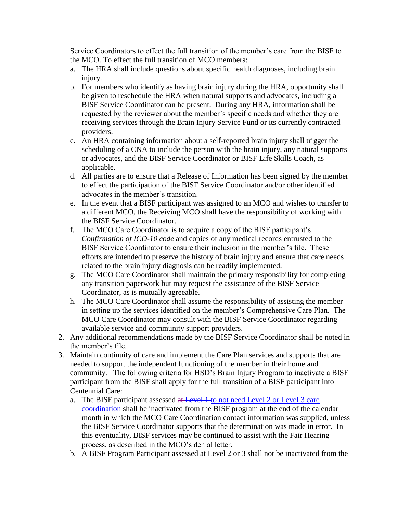Service Coordinators to effect the full transition of the member's care from the BISF to the MCO. To effect the full transition of MCO members:

- a. The HRA shall include questions about specific health diagnoses, including brain injury.
- b. For members who identify as having brain injury during the HRA, opportunity shall be given to reschedule the HRA when natural supports and advocates, including a BISF Service Coordinator can be present. During any HRA, information shall be requested by the reviewer about the member's specific needs and whether they are receiving services through the Brain Injury Service Fund or its currently contracted providers.
- c. An HRA containing information about a self-reported brain injury shall trigger the scheduling of a CNA to include the person with the brain injury, any natural supports or advocates, and the BISF Service Coordinator or BISF Life Skills Coach, as applicable.
- d. All parties are to ensure that a Release of Information has been signed by the member to effect the participation of the BISF Service Coordinator and/or other identified advocates in the member's transition.
- e. In the event that a BISF participant was assigned to an MCO and wishes to transfer to a different MCO, the Receiving MCO shall have the responsibility of working with the BISF Service Coordinator.
- f. The MCO Care Coordinator is to acquire a copy of the BISF participant's *Confirmation of ICD-10 code* and copies of any medical records entrusted to the BISF Service Coordinator to ensure their inclusion in the member's file. These efforts are intended to preserve the history of brain injury and ensure that care needs related to the brain injury diagnosis can be readily implemented.
- g. The MCO Care Coordinator shall maintain the primary responsibility for completing any transition paperwork but may request the assistance of the BISF Service Coordinator, as is mutually agreeable.
- h. The MCO Care Coordinator shall assume the responsibility of assisting the member in setting up the services identified on the member's Comprehensive Care Plan. The MCO Care Coordinator may consult with the BISF Service Coordinator regarding available service and community support providers.
- 2. Any additional recommendations made by the BISF Service Coordinator shall be noted in the member's file.
- 3. Maintain continuity of care and implement the Care Plan services and supports that are needed to support the independent functioning of the member in their home and community. The following criteria for HSD's Brain Injury Program to inactivate a BISF participant from the BISF shall apply for the full transition of a BISF participant into Centennial Care:
	- a. The BISF participant assessed at Level 1 to not need Level 2 or Level 3 care coordination shall be inactivated from the BISF program at the end of the calendar month in which the MCO Care Coordination contact information was supplied, unless the BISF Service Coordinator supports that the determination was made in error. In this eventuality, BISF services may be continued to assist with the Fair Hearing process, as described in the MCO's denial letter.
	- b. A BISF Program Participant assessed at Level 2 or 3 shall not be inactivated from the